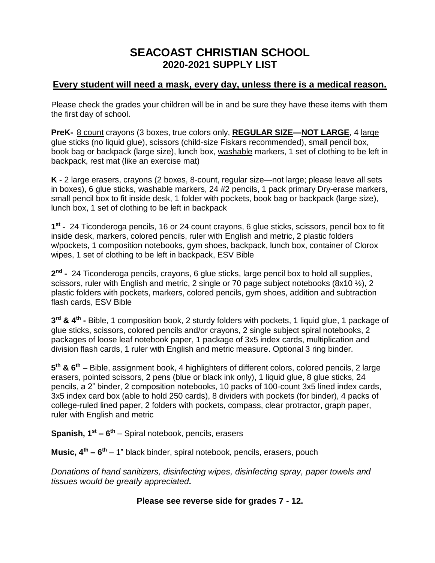## **SEACOAST CHRISTIAN SCHOOL 2020-2021 SUPPLY LIST**

## **Every student will need a mask, every day, unless there is a medical reason.**

Please check the grades your children will be in and be sure they have these items with them the first day of school.

**PreK-** 8 count crayons (3 boxes, true colors only, **REGULAR SIZE—NOT LARGE**, 4 large glue sticks (no liquid glue), scissors (child-size Fiskars recommended), small pencil box, book bag or backpack (large size), lunch box, washable markers, 1 set of clothing to be left in backpack, rest mat (like an exercise mat)

**K -** 2 large erasers, crayons (2 boxes, 8-count, regular size—not large; please leave all sets in boxes), 6 glue sticks, washable markers, 24 #2 pencils, 1 pack primary Dry-erase markers, small pencil box to fit inside desk, 1 folder with pockets, book bag or backpack (large size), lunch box, 1 set of clothing to be left in backpack

**1 st -** 24 Ticonderoga pencils, 16 or 24 count crayons, 6 glue sticks, scissors, pencil box to fit inside desk, markers, colored pencils, ruler with English and metric, 2 plastic folders w/pockets, 1 composition notebooks, gym shoes, backpack, lunch box, container of Clorox wipes, 1 set of clothing to be left in backpack, ESV Bible

**2 nd -** 24 Ticonderoga pencils, crayons, 6 glue sticks, large pencil box to hold all supplies, scissors, ruler with English and metric, 2 single or 70 page subject notebooks  $(8x10 \frac{1}{2})$ , 2 plastic folders with pockets, markers, colored pencils, gym shoes, addition and subtraction flash cards, ESV Bible

**3 rd & 4th -** Bible, 1 composition book, 2 sturdy folders with pockets, 1 liquid glue, 1 package of glue sticks, scissors, colored pencils and/or crayons, 2 single subject spiral notebooks, 2 packages of loose leaf notebook paper, 1 package of 3x5 index cards, multiplication and division flash cards, 1 ruler with English and metric measure. Optional 3 ring binder.

**5 th & 6th –** Bible, assignment book, 4 highlighters of different colors, colored pencils, 2 large erasers, pointed scissors, 2 pens (blue or black ink only), 1 liquid glue, 8 glue sticks, 24 pencils, a 2" binder, 2 composition notebooks, 10 packs of 100-count 3x5 lined index cards, 3x5 index card box (able to hold 250 cards), 8 dividers with pockets (for binder), 4 packs of college-ruled lined paper, 2 folders with pockets, compass, clear protractor, graph paper, ruler with English and metric

**Spanish, 1st – 6 th** – Spiral notebook, pencils, erasers

**Music, 4th – 6 th** – 1" black binder, spiral notebook, pencils, erasers, pouch

*Donations of hand sanitizers, disinfecting wipes, disinfecting spray, paper towels and tissues would be greatly appreciated.* 

## **Please see reverse side for grades 7 - 12.**